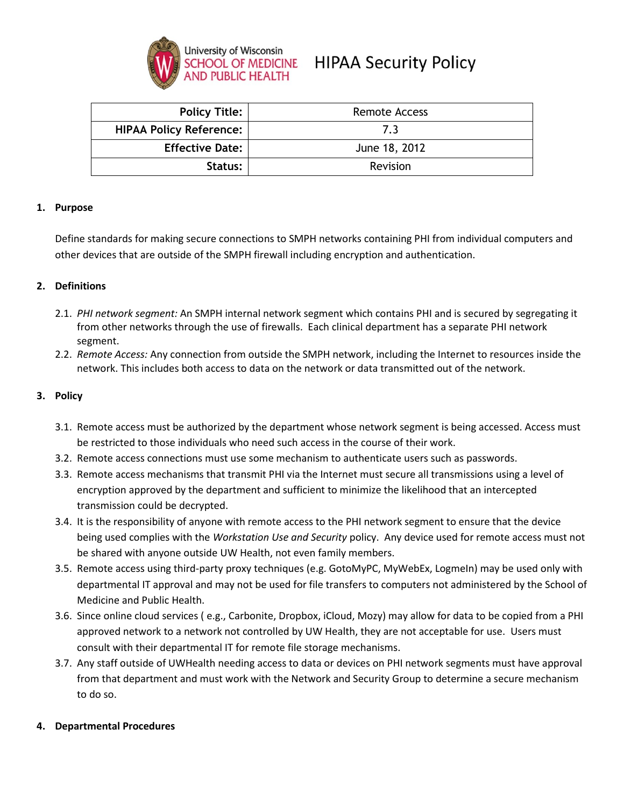

# **HIPAA Security Policy**

| <b>Policy Title:</b>           | Remote Access |
|--------------------------------|---------------|
| <b>HIPAA Policy Reference:</b> | 7.3           |
| <b>Effective Date:</b>         | June 18, 2012 |
| Status:                        | Revision      |

#### **1. Purpose**

Define standards for making secure connections to SMPH networks containing PHI from individual computers and other devices that are outside of the SMPH firewall including encryption and authentication.

## **2. Definitions**

- 2.1. *PHI network segment:* An SMPH internal network segment which contains PHI and is secured by segregating it from other networks through the use of firewalls. Each clinical department has a separate PHI network segment.
- 2.2. *Remote Access:* Any connection from outside the SMPH network, including the Internet to resources inside the network. This includes both access to data on the network or data transmitted out of the network.

#### **3. Policy**

- 3.1. Remote access must be authorized by the department whose network segment is being accessed. Access must be restricted to those individuals who need such access in the course of their work.
- 3.2. Remote access connections must use some mechanism to authenticate users such as passwords.
- 3.3. Remote access mechanisms that transmit PHI via the Internet must secure all transmissions using a level of encryption approved by the department and sufficient to minimize the likelihood that an intercepted transmission could be decrypted.
- 3.4. It is the responsibility of anyone with remote access to the PHI network segment to ensure that the device being used complies with the *Workstation Use and Security* policy. Any device used for remote access must not be shared with anyone outside UW Health, not even family members.
- 3.5. Remote access using third-party proxy techniques (e.g. GotoMyPC, MyWebEx, LogmeIn) may be used only with departmental IT approval and may not be used for file transfers to computers not administered by the School of Medicine and Public Health.
- 3.6. Since online cloud services ( e.g., Carbonite, Dropbox, iCloud, Mozy) may allow for data to be copied from a PHI approved network to a network not controlled by UW Health, they are not acceptable for use. Users must consult with their departmental IT for remote file storage mechanisms.
- 3.7. Any staff outside of UWHealth needing access to data or devices on PHI network segments must have approval from that department and must work with the Network and Security Group to determine a secure mechanism to do so.

#### **4. Departmental Procedures**